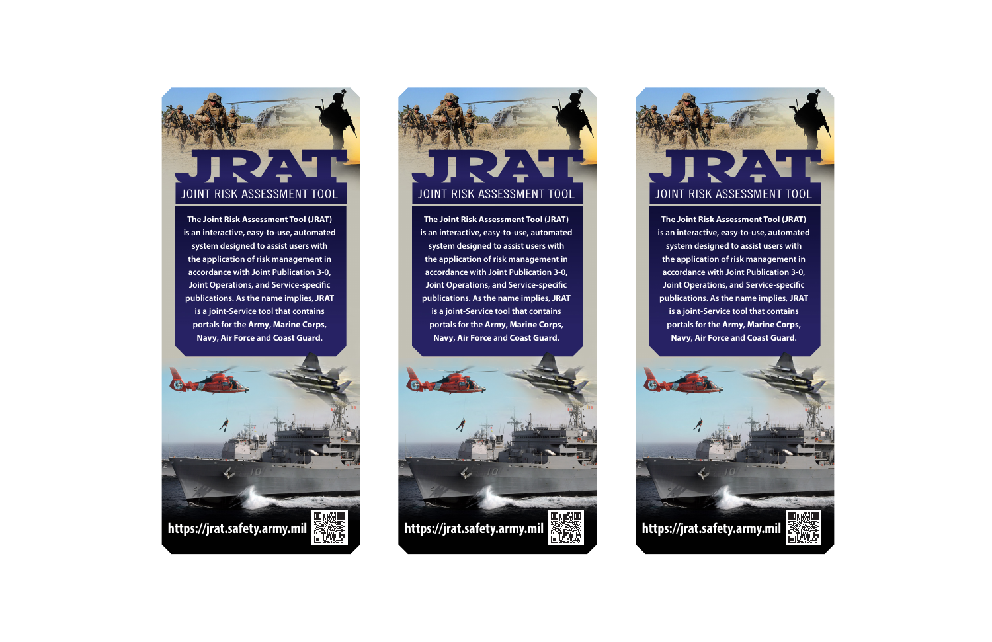## JOINT RISK ASSESSMENT TOOL

**The Joint Risk Assessment Tool (JRAT) is an interactive, easy-to-use, automated system designed to assist users with the application of risk management in accordance with Joint Publication 3-0, Joint Operations, and Service-specific publications. As the name implies, JRAT is a joint-Service tool that contains portals for the Army, Marine Corps, Navy, Air Force and Coast Guard.** 

**https://jrat.safety.army.mil**